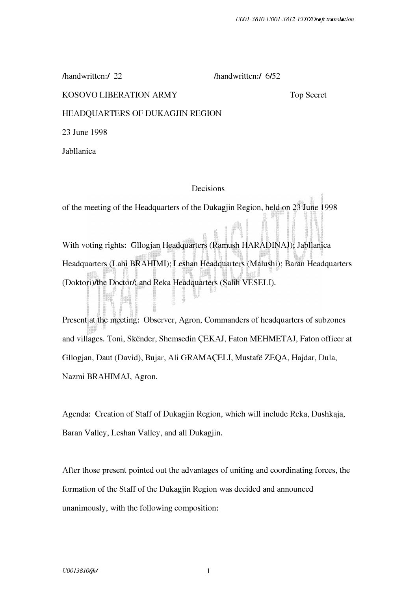/handwritten:/ 22 /handwritten:/ 6/52

### KOSOVO LIBERATION ARMY

Top Secret

HEADQUARTERS OF DUKAGJIN REGION

23 June 1998

Jabllanica

## Decisions

of the meeting of the Headquarters of the Dukagjin Region, held on 23 June 1998

With voting rights: Gllogjan Headquarters (Ramush HARADINAJ); Jabllanica Headquarters (Lahi BRAHIMI); Leshan Headquarters (Malushi); Baran Headquarters (Doktori)/the Doctor/; and Reka Headquarters (Salih VESELI).

Present at the meeting: Observer, Agron, Commanders of headquarters of subzones and villages. Toni, Skender, Shemsedin �EKAJ, Faton MEHMETAJ, Faton officer at Gllogjan, Daut (David), Bujar, Ali GRAMA�ELI, Mustafe ZEQA, Hajdar, Dula, Nazmi BRAHIMAJ, Agron.

Agenda: Creation of Staff of Dukagjin Region, which will include Reka, Dushkaja, Baran Valley, Leshan Valley, and all Dukagjin.

After those present pointed out the advantages of uniting and coordinating forces, the formation of the Staff of the Dukagjin Region was decided and announced unanimously, with the following composition: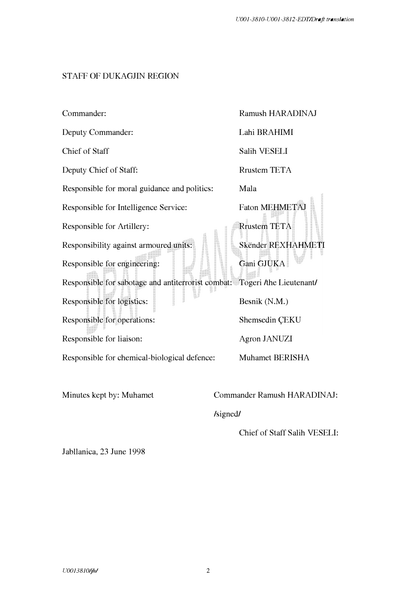# STAFF OF DUKAGJIN REGION

| Commander:                                                                 | Ramush HARADINAJ      |
|----------------------------------------------------------------------------|-----------------------|
| Deputy Commander:                                                          | Lahi BRAHIMI          |
| Chief of Staff                                                             | Salih VESELI          |
| Deputy Chief of Staff:                                                     | <b>Rrustem TETA</b>   |
| Responsible for moral guidance and politics:                               | Mala                  |
| Responsible for Intelligence Service:                                      | <b>Faton MEHMETAJ</b> |
| Responsible for Artillery:                                                 | Rrustem TETA          |
| Responsibility against armoured units:                                     | Skënder REXHAHMETI    |
| Responsible for engineering:                                               | Gani GJUKA            |
| Responsible for sabotage and antiterrorist combat: Togeri /the Lieutenant/ |                       |
| Responsible for logistics:                                                 | Besnik (N.M.)         |
| Responsible for operations:                                                | Shemsedin CEKU        |
| Responsible for liaison:                                                   | <b>Agron JANUZI</b>   |
| Responsible for chemical-biological defence:                               | Muhamet BERISHA       |

Minutes kept by: Muhamet

Commander Ramush HARADINAJ:

/signed/

Chief of Staff Salih VESELI:

Jabllanica, 23 June 1998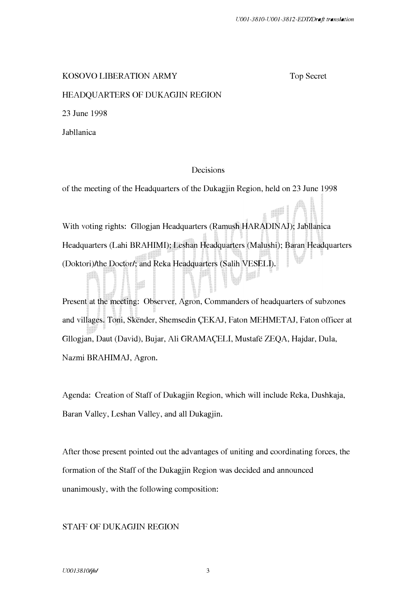#### KOSOVO LIBERATION ARMY

Top Secret

### HEADQUARTERS OF DUKAGJIN REGION

23 June 1998

Jabllanica

### Decisions

of the meeting of the Headquarters of the Dukagjin Region, held on 23 June 1998

With voting rights: Gllogjan Headquarters (Ramush HARADINAJ); Jabllanica Headquarters (Lahi BRAHIMI); Leshan Headquarters (Malushi); Baran Headquarters (Doktori)/the Doctor/; and Reka Headquarters (Salih VESELI).

Present at the meeting: Observer, Agron, Commanders of headquarters of subzones and villages. Toni, Skender, Shemsedin �EKAJ, Faton MEHMETAJ, Faton officer at Gllogjan, Daut (David), Bujar, Ali GRAMAÇELI, Mustafë ZEQA, Hajdar, Dula, Nazmi BRAHIMAJ, Agron.

Agenda: Creation of Staff of Dukagjin Region, which will include Reka, Dushkaja, Baran Valley, Leshan Valley, and all Dukagjin.

After those present pointed out the advantages of uniting and coordinating forces, the formation of the Staff of the Dukagjin Region was decided and announced unanimously, with the following composition:

### STAFF OF DUKAGJIN REGION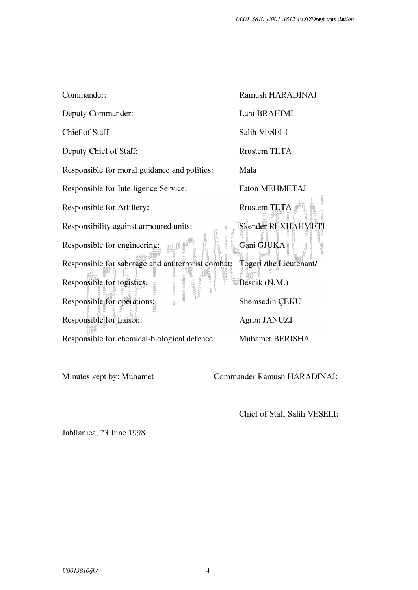| Commander:                                         | Ramush HARADINAJ        |
|----------------------------------------------------|-------------------------|
| Deputy Commander:                                  | Lahi BRAHIMI            |
| Chief of Staff                                     | Salih VESELI            |
| Deputy Chief of Staff:                             | <b>Rrustem TETA</b>     |
| Responsible for moral guidance and politics:       | Mala                    |
| Responsible for Intelligence Service:              | <b>Faton MEHMETAJ</b>   |
| Responsible for Artillery:                         | <b>Rrustem TETA</b>     |
| Responsibility against armoured units:             | Skënder REXHAHM         |
| Responsible for engineering:                       | Gani GJUKA              |
| Responsible for sabotage and antiterrorist combat: | Togeri /the Lieutenant/ |
| Responsible for logistics:                         | Besnik (N.M.)           |
| Responsible for operations:                        | Shemsedin ÇEKU          |
| Responsible for liaison:                           | Agron JANUZI            |
| Responsible for chemical-biological defence:       | Muhamet BERISHA         |

Minutes kept by: Muhamet Commander Ramush HARADINAJ:

Chief of Staff Salih VESELI:

Jabllanica, 23 June 1998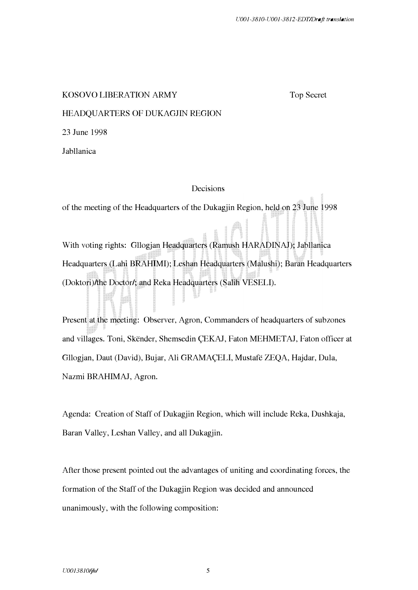### KOSOVO LIBERATION ARMY

Top Secret

## HEADQUARTERS OF DUKAGJIN REGION

23 June 1998

Jabllanica

## Decisions

of the meeting of the Headquarters of the Dukagjin Region, held on 23 June 1998

With voting rights: Gllogjan Headquarters (Ramush HARADINAJ); Jabllanica Headquarters (Lahi BRAHIMI); Leshan Headquarters (Malushi); Baran Headquarters (Doktori)/the Doctor/; and Reka Headquarters (Salih VESELI).

Present at the meeting: Observer, Agron, Commanders of headquarters of subzones and villages. Toni, Skender, Shemsedin �EKAJ, Faton MEHMETAJ, Faton officer at Gllogjan, Daut (David), Bujar, Ali GRAMAÇELI, Mustafë ZEQA, Hajdar, Dula, Nazmi BRAHIMAJ, Agron.

Agenda: Creation of Staff of Dukagjin Region, which will include Reka, Dushkaja, Baran Valley, Leshan Valley, and all Dukagjin.

After those present pointed out the advantages of uniting and coordinating forces, the formation of the Staff of the Dukagjin Region was decided and announced unanimously, with the following composition: